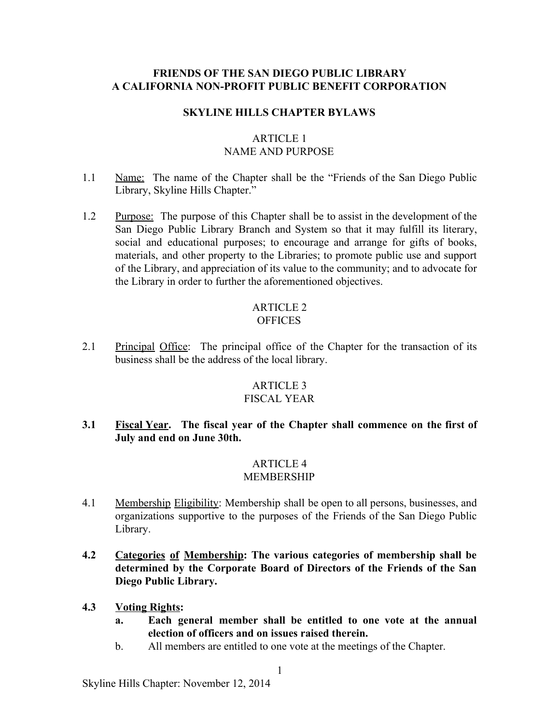### **FRIENDS OF THE SAN DIEGO PUBLIC LIBRARY A CALIFORNIA NONPROFIT PUBLIC BENEFIT CORPORATION**

### **SKYLINE HILLS CHAPTER BYLAWS**

# ARTICLE 1 NAME AND PURPOSE

- 1.1 Name: The name of the Chapter shall be the "Friends of the San Diego Public Library, Skyline Hills Chapter."
- 1.2 Purpose: The purpose of this Chapter shall be to assist in the development of the San Diego Public Library Branch and System so that it may fulfill its literary, social and educational purposes; to encourage and arrange for gifts of books, materials, and other property to the Libraries; to promote public use and support of the Library, and appreciation of its value to the community; and to advocate for the Library in order to further the aforementioned objectives.

#### ARTICLE 2 **OFFICES**

2.1 Principal Office: The principal office of the Chapter for the transaction of its business shall be the address of the local library.

## ARTICLE 3

## FISCAL YEAR

**3.1 Fiscal Year. The fiscal year of the Chapter shall commence on the first of July and end on June 30th.**

#### ARTICLE 4 MEMBERSHIP

- 4.1 Membership Eligibility: Membership shall be open to all persons, businesses, and organizations supportive to the purposes of the Friends of the San Diego Public Library.
- **4.2 Categories of Membership: The various categories of membership shall be determined by the Corporate Board of Directors of the Friends of the San Diego Public Library.**
- **4.3 Voting Rights:**
	- **a. Each general member shall be entitled to one vote at the annual election of officers and on issues raised therein.**
	- b. All members are entitled to one vote at the meetings of the Chapter.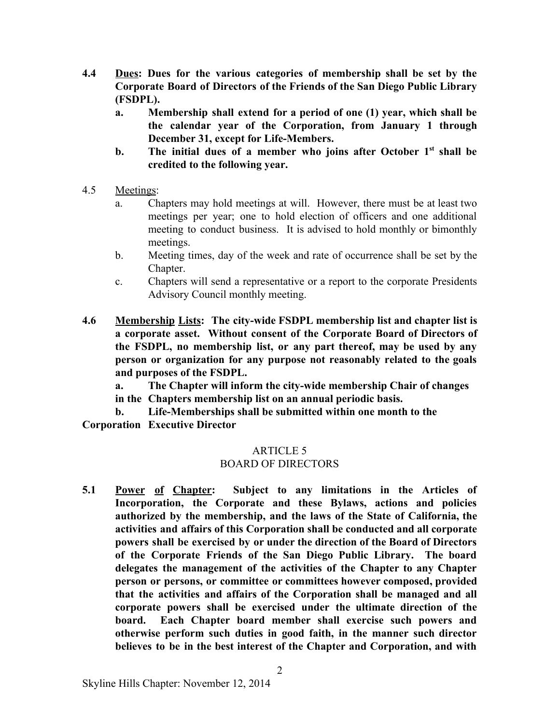- **4.4 Dues: Dues for the various categories of membership shall be set by the Corporate Board of Directors of the Friends of the San Diego Public Library (FSDPL).**
	- **a. Membership shall extend for a period of one (1) year, which shall be the calendar year of the Corporation, from January 1 through December 31, except for Life-Members.**
	- **b. The initial dues of a member who joins after October 1 st shall be credited to the following year.**
- 4.5 Meetings:
	- a. Chapters may hold meetings at will. However, there must be at least two meetings per year; one to hold election of officers and one additional meeting to conduct business. It is advised to hold monthly or bimonthly meetings.
	- b. Meeting times, day of the week and rate of occurrence shall be set by the Chapter.
	- c. Chapters will send a representative or a report to the corporate Presidents Advisory Council monthly meeting.
- **4.6 Membership Lists: The citywide FSDPL membership list and chapter list is a corporate asset. Without consent of the Corporate Board of Directors of the FSDPL, no membership list, or any part thereof, may be used by any person or organization for any purpose not reasonably related to the goals and purposes of the FSDPL.**

**a. The Chapter will inform the citywide membership Chair of changes in the Chapters membership list on an annual periodic basis.**

**b. LifeMemberships shall be submitted within one month to the Corporation Executive Director**

# ARTICLE 5

# BOARD OF DIRECTORS

**5.1 Power of Chapter: Subject to any limitations in the Articles of Incorporation, the Corporate and these Bylaws, actions and policies authorized by the membership, and the laws of the State of California, the activities and affairs of this Corporation shall be conducted and all corporate powers shall be exercised by or under the direction of the Board of Directors of the Corporate Friends of the San Diego Public Library. The board delegates the management of the activities of the Chapter to any Chapter person or persons, or committee or committees however composed, provided that the activities and affairs of the Corporation shall be managed and all corporate powers shall be exercised under the ultimate direction of the board. Each Chapter board member shall exercise such powers and otherwise perform such duties in good faith, in the manner such director believes to be in the best interest of the Chapter and Corporation, and with**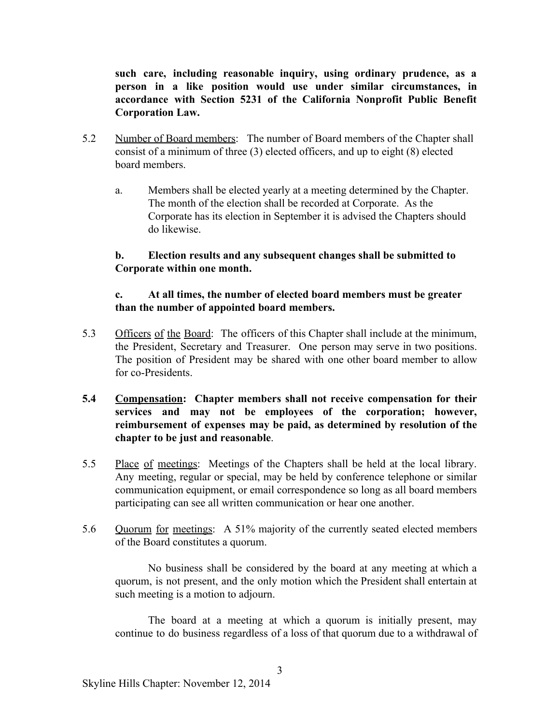**such care, including reasonable inquiry, using ordinary prudence, as a person in a like position would use under similar circumstances, in accordance with Section 5231 of the California Nonprofit Public Benefit Corporation Law.**

- 5.2 Number of Board members: The number of Board members of the Chapter shall consist of a minimum of three (3) elected officers, and up to eight (8) elected board members.
	- a. Members shall be elected yearly at a meeting determined by the Chapter. The month of the election shall be recorded at Corporate. As the Corporate has its election in September it is advised the Chapters should do likewise.

### **b. Election results and any subsequent changes shall be submitted to Corporate within one month.**

### **c. At all times, the number of elected board members must be greater than the number of appointed board members.**

- 5.3 Officers of the Board: The officers of this Chapter shall include at the minimum, the President, Secretary and Treasurer. One person may serve in two positions. The position of President may be shared with one other board member to allow for co-Presidents
- **5.4 Compensation: Chapter members shall not receive compensation for their services and may not be employees of the corporation; however, reimbursement of expenses may be paid, as determined by resolution of the chapter to be just and reasonable**.
- 5.5 Place of meetings: Meetings of the Chapters shall be held at the local library. Any meeting, regular or special, may be held by conference telephone or similar communication equipment, or email correspondence so long as all board members participating can see all written communication or hear one another.
- 5.6 Quorum for meetings: A 51% majority of the currently seated elected members of the Board constitutes a quorum.

No business shall be considered by the board at any meeting at which a quorum, is not present, and the only motion which the President shall entertain at such meeting is a motion to adjourn.

The board at a meeting at which a quorum is initially present, may continue to do business regardless of a loss of that quorum due to a withdrawal of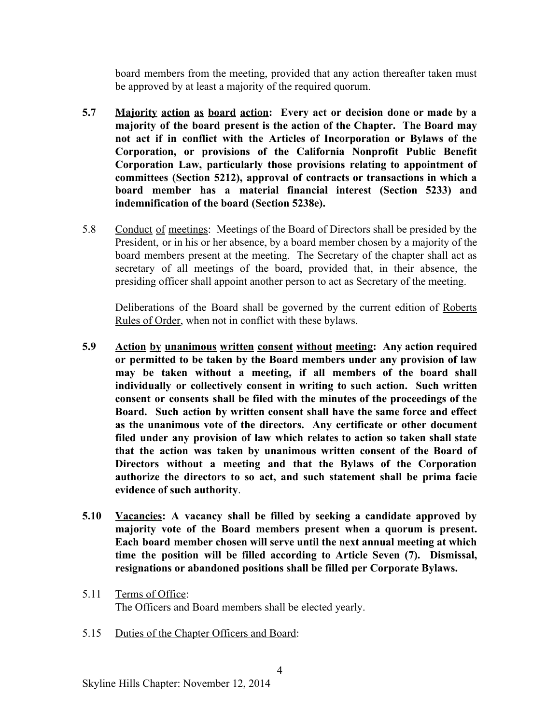board members from the meeting, provided that any action thereafter taken must be approved by at least a majority of the required quorum.

- **5.7 Majority action as board action: Every act or decision done or made by a majority of the board present is the action of the Chapter. The Board may not act if in conflict with the Articles of Incorporation or Bylaws of the Corporation, or provisions of the California Nonprofit Public Benefit Corporation Law, particularly those provisions relating to appointment of committees (Section 5212), approval of contracts or transactions in which a board member has a material financial interest (Section 5233) and indemnification of the board (Section 5238e).**
- 5.8 Conduct of meetings: Meetings of the Board of Directors shall be presided by the President, or in his or her absence, by a board member chosen by a majority of the board members present at the meeting. The Secretary of the chapter shall act as secretary of all meetings of the board, provided that, in their absence, the presiding officer shall appoint another person to act as Secretary of the meeting.

Deliberations of the Board shall be governed by the current edition of Roberts Rules of Order, when not in conflict with these bylaws.

- **5.9 Action by unanimous written consent without meeting: Any action required or permitted to be taken by the Board members under any provision of law may be taken without a meeting, if all members of the board shall individually or collectively consent in writing to such action. Such written consent or consents shall be filed with the minutes of the proceedings of the Board. Such action by written consent shall have the same force and effect as the unanimous vote of the directors. Any certificate or other document filed under any provision of law which relates to action so taken shall state that the action was taken by unanimous written consent of the Board of Directors without a meeting and that the Bylaws of the Corporation authorize the directors to so act, and such statement shall be prima facie evidence of such authority**.
- **5.10 Vacancies: A vacancy shall be filled by seeking a candidate approved by majority vote of the Board members present when a quorum is present. Each board member chosen will serve until the next annual meeting at which time the position will be filled according to Article Seven (7). Dismissal, resignations or abandoned positions shall be filled per Corporate Bylaws.**
- 5.11 Terms of Office: The Officers and Board members shall be elected yearly.
- 5.15 Duties of the Chapter Officers and Board: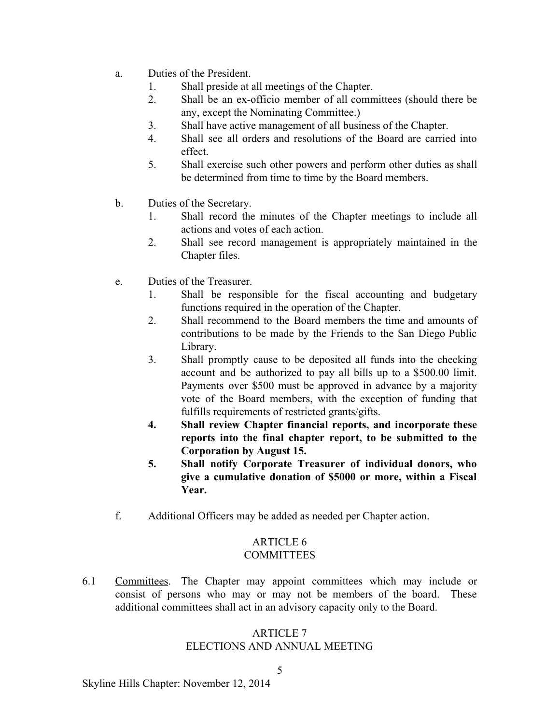- a. Duties of the President.
	- 1. Shall preside at all meetings of the Chapter.
	- 2. Shall be an ex-officio member of all committees (should there be any, except the Nominating Committee.)
	- 3. Shall have active management of all business of the Chapter.
	- 4. Shall see all orders and resolutions of the Board are carried into effect.
	- 5. Shall exercise such other powers and perform other duties as shall be determined from time to time by the Board members.
- b. Duties of the Secretary.
	- 1. Shall record the minutes of the Chapter meetings to include all actions and votes of each action.
	- 2. Shall see record management is appropriately maintained in the Chapter files.
- e. Duties of the Treasurer.
	- 1. Shall be responsible for the fiscal accounting and budgetary functions required in the operation of the Chapter.
	- 2. Shall recommend to the Board members the time and amounts of contributions to be made by the Friends to the San Diego Public Library.
	- 3. Shall promptly cause to be deposited all funds into the checking account and be authorized to pay all bills up to a \$500.00 limit. Payments over \$500 must be approved in advance by a majority vote of the Board members, with the exception of funding that fulfills requirements of restricted grants/gifts.
	- **4. Shall review Chapter financial reports, and incorporate these reports into the final chapter report, to be submitted to the Corporation by August 15.**
	- **5. Shall notify Corporate Treasurer of individual donors, who give a cumulative donation of \$5000 or more, within a Fiscal Year.**
- f. Additional Officers may be added as needed per Chapter action.

# ARTICLE 6

# COMMITTEES

6.1 Committees. The Chapter may appoint committees which may include or consist of persons who may or may not be members of the board. These additional committees shall act in an advisory capacity only to the Board.

# ARTICLE 7

# ELECTIONS AND ANNUAL MEETING

Skyline Hills Chapter: November 12, 2014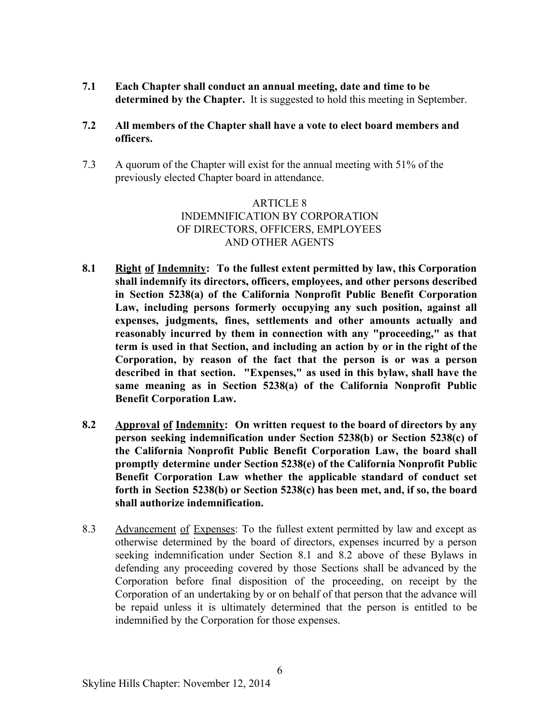**7.1 Each Chapter shall conduct an annual meeting, date and time to be determined by the Chapter.** It is suggested to hold this meeting in September.

### **7.2 All members of the Chapter shall have a vote to elect board members and officers.**

7.3 A quorum of the Chapter will exist for the annual meeting with 51% of the previously elected Chapter board in attendance.

# ARTICLE 8 INDEMNIFICATION BY CORPORATION OF DIRECTORS, OFFICERS, EMPLOYEES AND OTHER AGENTS

- **8.1 Right of Indemnity: To the fullest extent permitted by law, this Corporation shall indemnify its directors, officers, employees, and other persons described in Section 5238(a) of the California Nonprofit Public Benefit Corporation Law, including persons formerly occupying any such position, against all expenses, judgments, fines, settlements and other amounts actually and reasonably incurred by them in connection with any "proceeding," as that term is used in that Section, and including an action by or in the right of the Corporation, by reason of the fact that the person is or was a person described in that section. "Expenses," as used in this bylaw, shall have the same meaning as in Section 5238(a) of the California Nonprofit Public Benefit Corporation Law.**
- **8.2 Approval of Indemnity: On written request to the board of directors by any person seeking indemnification under Section 5238(b) or Section 5238(c) of the California Nonprofit Public Benefit Corporation Law, the board shall promptly determine under Section 5238(e) of the California Nonprofit Public Benefit Corporation Law whether the applicable standard of conduct set forth in Section 5238(b) or Section 5238(c) has been met, and, if so, the board shall authorize indemnification.**
- 8.3 Advancement of Expenses: To the fullest extent permitted by law and except as otherwise determined by the board of directors, expenses incurred by a person seeking indemnification under Section 8.1 and 8.2 above of these Bylaws in defending any proceeding covered by those Sections shall be advanced by the Corporation before final disposition of the proceeding, on receipt by the Corporation of an undertaking by or on behalf of that person that the advance will be repaid unless it is ultimately determined that the person is entitled to be indemnified by the Corporation for those expenses.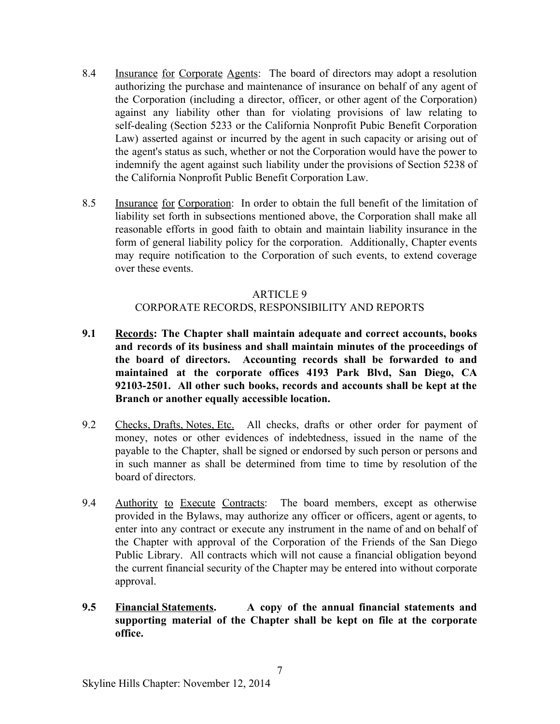- 8.4 Insurance for Corporate Agents: The board of directors may adopt a resolution authorizing the purchase and maintenance of insurance on behalf of any agent of the Corporation (including a director, officer, or other agent of the Corporation) against any liability other than for violating provisions of law relating to self-dealing (Section 5233 or the California Nonprofit Pubic Benefit Corporation Law) asserted against or incurred by the agent in such capacity or arising out of the agent's status as such, whether or not the Corporation would have the power to indemnify the agent against such liability under the provisions of Section 5238 of the California Nonprofit Public Benefit Corporation Law.
- 8.5 Insurance for Corporation: In order to obtain the full benefit of the limitation of liability set forth in subsections mentioned above, the Corporation shall make all reasonable efforts in good faith to obtain and maintain liability insurance in the form of general liability policy for the corporation. Additionally, Chapter events may require notification to the Corporation of such events, to extend coverage over these events.

### ARTICLE 9

### CORPORATE RECORDS, RESPONSIBILITY AND REPORTS

- **9.1 Records: The Chapter shall maintain adequate and correct accounts, books and records of its business and shall maintain minutes of the proceedings of the board of directors. Accounting records shall be forwarded to and maintained at the corporate offices 4193 Park Blvd, San Diego, CA 921032501. All other such books, records and accounts shall be kept at the Branch or another equally accessible location.**
- 9.2 Checks, Drafts, Notes, Etc. All checks, drafts or other order for payment of money, notes or other evidences of indebtedness, issued in the name of the payable to the Chapter, shall be signed or endorsed by such person or persons and in such manner as shall be determined from time to time by resolution of the board of directors.
- 9.4 Authority to Execute Contracts: The board members, except as otherwise provided in the Bylaws, may authorize any officer or officers, agent or agents, to enter into any contract or execute any instrument in the name of and on behalf of the Chapter with approval of the Corporation of the Friends of the San Diego Public Library. All contracts which will not cause a financial obligation beyond the current financial security of the Chapter may be entered into without corporate approval.
- **9.5 Financial Statements. A copy of the annual financial statements and supporting material of the Chapter shall be kept on file at the corporate office.**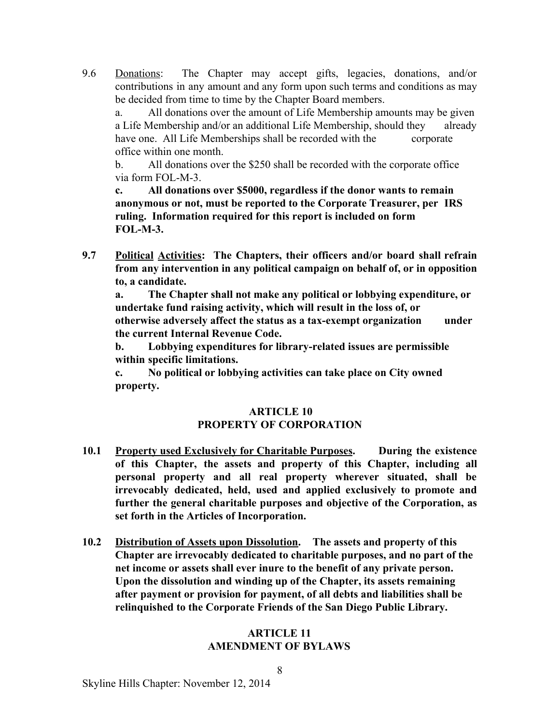9.6 Donations: The Chapter may accept gifts, legacies, donations, and/or contributions in any amount and any form upon such terms and conditions as may be decided from time to time by the Chapter Board members.

a. All donations over the amount of Life Membership amounts may be given a Life Membership and/or an additional Life Membership, should they already have one. All Life Memberships shall be recorded with the corporate office within one month.

b. All donations over the \$250 shall be recorded with the corporate office via form FOL-M-3.

**c. All donations over \$5000, regardless if the donor wants to remain anonymous or not, must be reported to the Corporate Treasurer, per IRS ruling. Information required for this report is included on form FOL-M-3.** 

**9.7 Political Activities: The Chapters, their officers and/or board shall refrain from any intervention in any political campaign on behalf of, or in opposition to, a candidate.**

**a. The Chapter shall not make any political or lobbying expenditure, or undertake fund raising activity, which will result in the loss of, or otherwise adversely affect the status as a taxexempt organization under the current Internal Revenue Code.**

**b.** Lobbying expenditures for library-related issues are permissible **within specific limitations.**

**c. No political or lobbying activities can take place on City owned property.**

### **ARTICLE 10 PROPERTY OF CORPORATION**

- **10.1 Property used Exclusively for Charitable Purposes. During the existence of this Chapter, the assets and property of this Chapter, including all personal property and all real property wherever situated, shall be irrevocably dedicated, held, used and applied exclusively to promote and further the general charitable purposes and objective of the Corporation, as set forth in the Articles of Incorporation.**
- **10.2 Distribution of Assets upon Dissolution. The assets and property of this Chapter are irrevocably dedicated to charitable purposes, and no part of the net income or assets shall ever inure to the benefit of any private person. Upon the dissolution and winding up of the Chapter, its assets remaining after payment or provision for payment, of all debts and liabilities shall be relinquished to the Corporate Friends of the San Diego Public Library.**

### **ARTICLE 11 AMENDMENT OF BYLAWS**